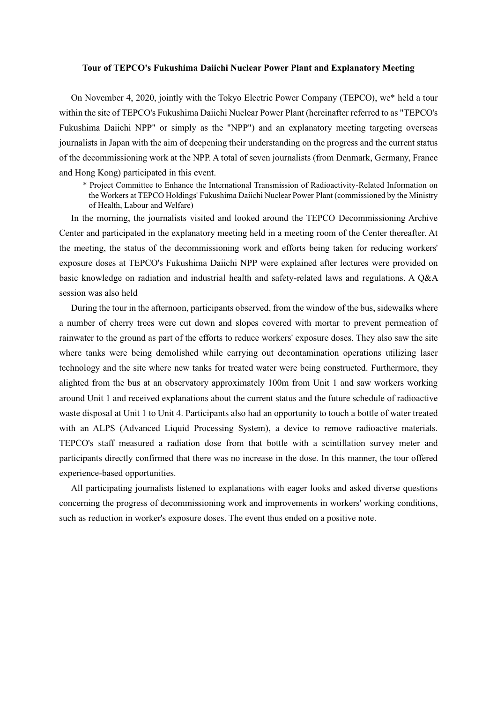## Tour of TEPCO's Fukushima Daiichi Nuclear Power Plant and Explanatory Meeting

On November 4, 2020, jointly with the Tokyo Electric Power Company (TEPCO), we\* held a tour within the site of TEPCO's Fukushima Daiichi Nuclear Power Plant (hereinafter referred to as "TEPCO's Fukushima Daiichi NPP" or simply as the "NPP") and an explanatory meeting targeting overseas journalists in Japan with the aim of deepening their understanding on the progress and the current status of the decommissioning work at the NPP. A total of seven journalists (from Denmark, Germany, France and Hong Kong) participated in this event.

\* Project Committee to Enhance the International Transmission of Radioactivity-Related Information on the Workers at TEPCO Holdings' Fukushima Daiichi Nuclear Power Plant (commissioned by the Ministry of Health, Labour and Welfare)

In the morning, the journalists visited and looked around the TEPCO Decommissioning Archive Center and participated in the explanatory meeting held in a meeting room of the Center thereafter. At the meeting, the status of the decommissioning work and efforts being taken for reducing workers' exposure doses at TEPCO's Fukushima Daiichi NPP were explained after lectures were provided on basic knowledge on radiation and industrial health and safety-related laws and regulations. A Q&A session was also held

During the tour in the afternoon, participants observed, from the window of the bus, sidewalks where a number of cherry trees were cut down and slopes covered with mortar to prevent permeation of rainwater to the ground as part of the efforts to reduce workers' exposure doses. They also saw the site where tanks were being demolished while carrying out decontamination operations utilizing laser technology and the site where new tanks for treated water were being constructed. Furthermore, they alighted from the bus at an observatory approximately 100m from Unit 1 and saw workers working around Unit 1 and received explanations about the current status and the future schedule of radioactive waste disposal at Unit 1 to Unit 4. Participants also had an opportunity to touch a bottle of water treated with an ALPS (Advanced Liquid Processing System), a device to remove radioactive materials. TEPCO's staff measured a radiation dose from that bottle with a scintillation survey meter and participants directly confirmed that there was no increase in the dose. In this manner, the tour offered experience-based opportunities.

All participating journalists listened to explanations with eager looks and asked diverse questions concerning the progress of decommissioning work and improvements in workers' working conditions, such as reduction in worker's exposure doses. The event thus ended on a positive note.